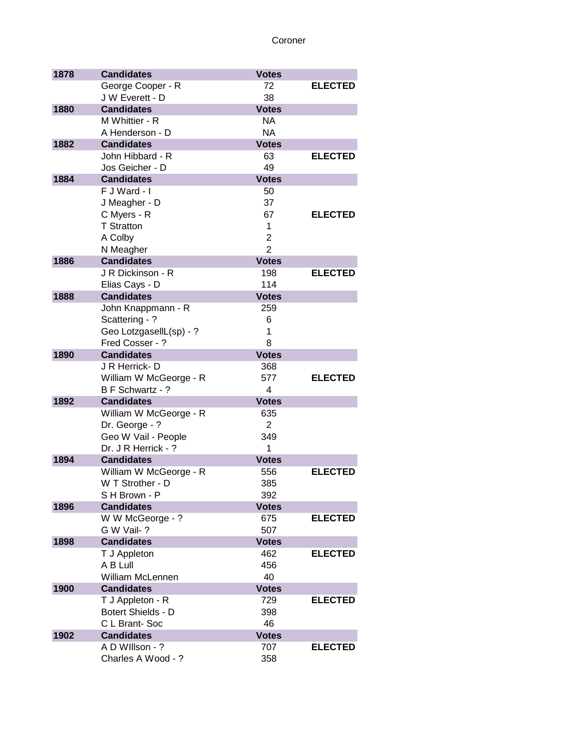| 1878 | <b>Candidates</b>                        | <b>Votes</b>   |                |
|------|------------------------------------------|----------------|----------------|
|      | George Cooper - R                        | 72             | <b>ELECTED</b> |
|      | J W Everett - D                          | 38             |                |
| 1880 | <b>Candidates</b>                        | <b>Votes</b>   |                |
|      | M Whittier - R                           | <b>NA</b>      |                |
|      | A Henderson - D                          | <b>NA</b>      |                |
| 1882 | <b>Candidates</b>                        | <b>Votes</b>   |                |
|      | John Hibbard - R                         | 63             | <b>ELECTED</b> |
|      | Jos Geicher - D                          | 49             |                |
| 1884 | <b>Candidates</b>                        | <b>Votes</b>   |                |
|      | F J Ward - I                             | 50             |                |
|      | J Meagher - D                            | 37             |                |
|      | C Myers - R                              | 67             | <b>ELECTED</b> |
|      | <b>T</b> Stratton                        | 1              |                |
|      | A Colby                                  | $\overline{2}$ |                |
|      | N Meagher                                | $\overline{2}$ |                |
| 1886 | <b>Candidates</b>                        | <b>Votes</b>   |                |
|      | J R Dickinson - R                        | 198            | <b>ELECTED</b> |
|      | Elias Cays - D                           | 114            |                |
| 1888 | <b>Candidates</b>                        | <b>Votes</b>   |                |
|      | John Knappmann - R                       | 259            |                |
|      | Scattering - ?                           | 6              |                |
|      | Geo LotzgasellL(sp) - ?                  | 1              |                |
|      | Fred Cosser - ?                          | 8              |                |
| 1890 | <b>Candidates</b>                        | <b>Votes</b>   |                |
|      | J R Herrick-D                            | 368            |                |
|      | William W McGeorge - R                   | 577<br>4       | <b>ELECTED</b> |
| 1892 | B F Schwartz - ?<br><b>Candidates</b>    | <b>Votes</b>   |                |
|      |                                          | 635            |                |
|      | William W McGeorge - R<br>Dr. George - ? | $\overline{2}$ |                |
|      | Geo W Vail - People                      | 349            |                |
|      | Dr. J R Herrick - ?                      | 1              |                |
| 1894 | <b>Candidates</b>                        | <b>Votes</b>   |                |
|      | William W McGeorge - R                   | 556            | <b>ELECTED</b> |
|      | W T Strother - D                         | 385            |                |
|      | S H Brown - P                            | 392            |                |
| 1896 | <b>Candidates</b>                        | <b>Votes</b>   |                |
|      | W W McGeorge - ?                         | 675            | <b>ELECTED</b> |
|      | G W Vail-?                               | 507            |                |
| 1898 | <b>Candidates</b>                        | <b>Votes</b>   |                |
|      | T J Appleton                             | 462            | <b>ELECTED</b> |
|      | A B Lull                                 | 456            |                |
|      | <b>William McLennen</b>                  | 40             |                |
| 1900 | <b>Candidates</b>                        | <b>Votes</b>   |                |
|      | T J Appleton - R                         | 729            | <b>ELECTED</b> |
|      | Botert Shields - D                       | 398            |                |
|      | C L Brant-Soc                            | 46             |                |
| 1902 | <b>Candidates</b>                        | <b>Votes</b>   |                |
|      | A D Willson - ?                          | 707            | <b>ELECTED</b> |
|      | Charles A Wood - ?                       | 358            |                |